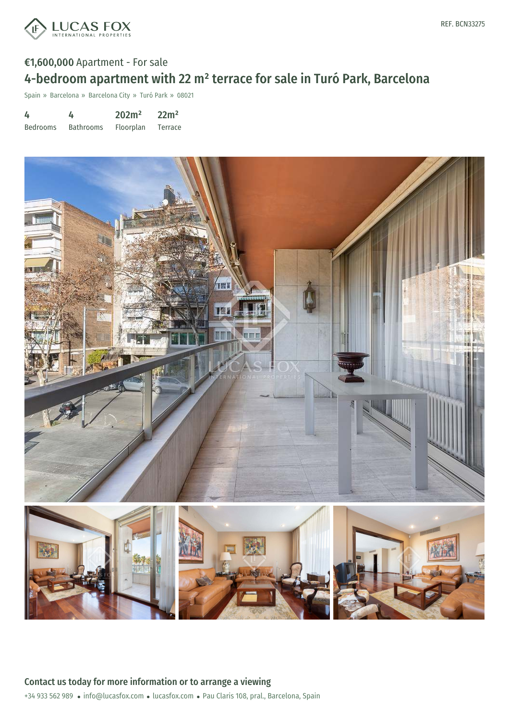

## €1,600,000 Apartment - For sale 4-bedroom apartment with 22 m² terrace for sale in Turó Park, Barcelona

Spain » Barcelona » Barcelona City » Turó Park » 08021

| 4               | 4                | 202m <sup>2</sup> | 22m <sup>2</sup> |
|-----------------|------------------|-------------------|------------------|
| <b>Bedrooms</b> | <b>Bathrooms</b> | <b>Floorplan</b>  | Terrace          |

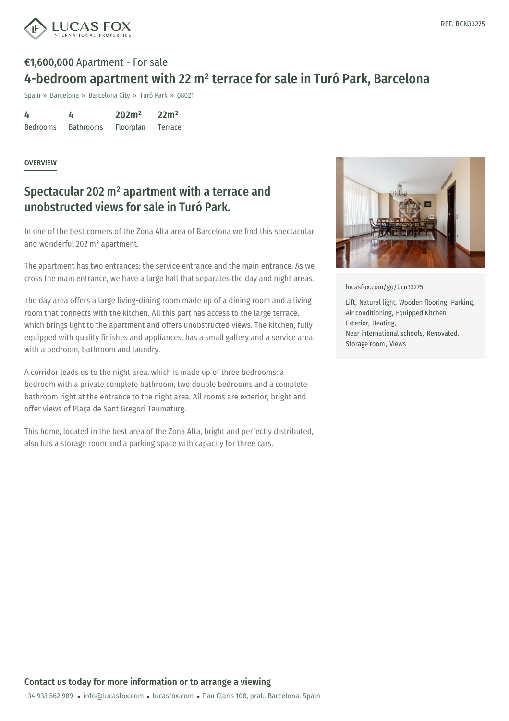

# €1,600,000 Apartment - For sale 4-bedroom apartment with 22 m² terrace for sale in Turó Park, Barcelona

Spain » Barcelona » Barcelona City » Turó Park » 08021

| 4               | 4                | 202m <sup>2</sup> | 22m <sup>2</sup> |
|-----------------|------------------|-------------------|------------------|
| <b>Bedrooms</b> | <b>Bathrooms</b> | Floorplan         | <b>Terrace</b>   |

#### **OVERVIEW**

### Spectacular 202 m² apartment with a terrace and unobstructed views for sale in Turó Park.

In one of the best corners of the Zona Alta area of Barcelona we find this spectacular and wonderful 202 m² apartment.

The apartment has two entrances: the service entrance and the main entrance. As we cross the main entrance, we have a large hall that separates the day and night areas.

The day area offers a large living-dining room made up of a dining room and a living room that connects with the kitchen. All this part has access to the large terrace, which brings light to the apartment and offers unobstructed views. The kitchen, fully equipped with quality finishes and appliances, has a small gallery and a service area with a bedroom, bathroom and laundry.

A corridor leads us to the night area, which is made up of three bedrooms: a bedroom with a private complete bathroom, two double bedrooms and a complete bathroom right at the entrance to the night area. All rooms are exterior, bright and offer views of Plaça de Sant Gregori Taumaturg.

This home, located in the best area of the Zona Alta, bright and perfectly distributed, also has a storage room and a parking space with capacity for three cars.



[lucasfox.com/go/bcn33275](https://www.lucasfox.com/go/bcn33275)

Lift, Natural light, Wooden flooring, Parking, Air conditioning, Equipped Kitchen, Exterior, Heating, Near international schools, Renovated, Storage room, Views